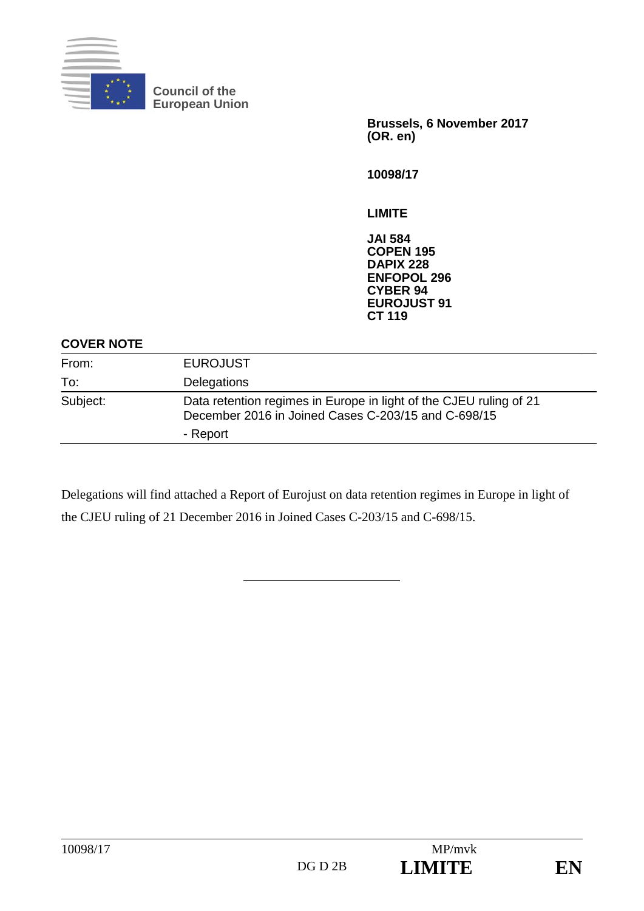

**Council of the European Union** 

> **Brussels, 6 November 2017 (OR. en)**

**10098/17** 

**LIMITE** 

**JAI 584 COPEN 195 DAPIX 228 ENFOPOL 296 CYBER 94 EUROJUST 91 CT 119**

#### **COVER NOTE**

| From:    | <b>EUROJUST</b>                                                                                                           |  |
|----------|---------------------------------------------------------------------------------------------------------------------------|--|
| To:      | Delegations                                                                                                               |  |
| Subject: | Data retention regimes in Europe in light of the CJEU ruling of 21<br>December 2016 in Joined Cases C-203/15 and C-698/15 |  |
|          | - Report                                                                                                                  |  |

Delegations will find attached a Report of Eurojust on data retention regimes in Europe in light of the CJEU ruling of 21 December 2016 in Joined Cases C-203/15 and C-698/15.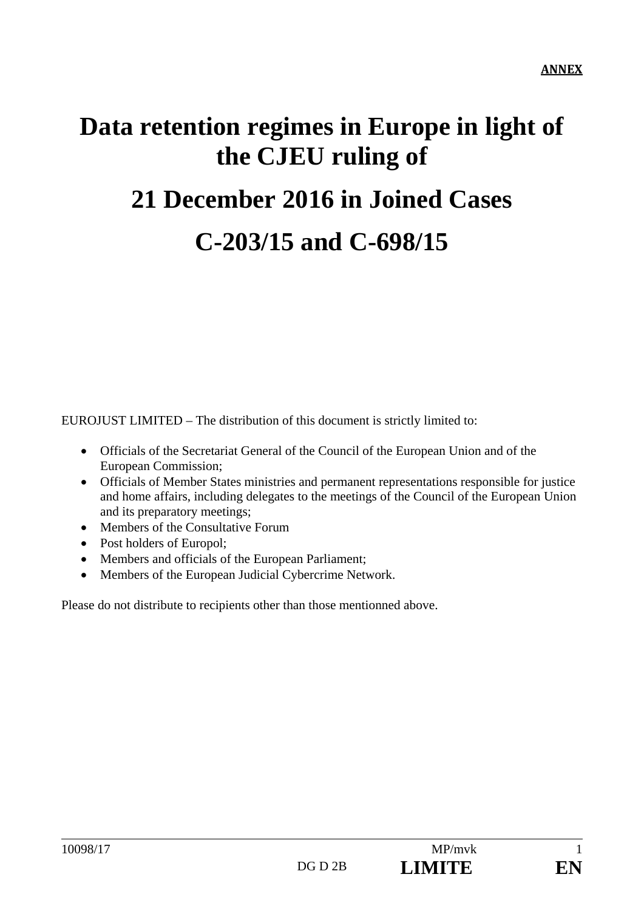# **Data retention regimes in Europe in light of the CJEU ruling of 21 December 2016 in Joined Cases** **C-203/15 and C-698/15**

EUROJUST LIMITED – The distribution of this document is strictly limited to:

- Officials of the Secretariat General of the Council of the European Union and of the European Commission;
- Officials of Member States ministries and permanent representations responsible for justice and home affairs, including delegates to the meetings of the Council of the European Union and its preparatory meetings;
- Members of the Consultative Forum
- Post holders of Europol;
- Members and officials of the European Parliament;
- Members of the European Judicial Cybercrime Network.

Please do not distribute to recipients other than those mentionned above.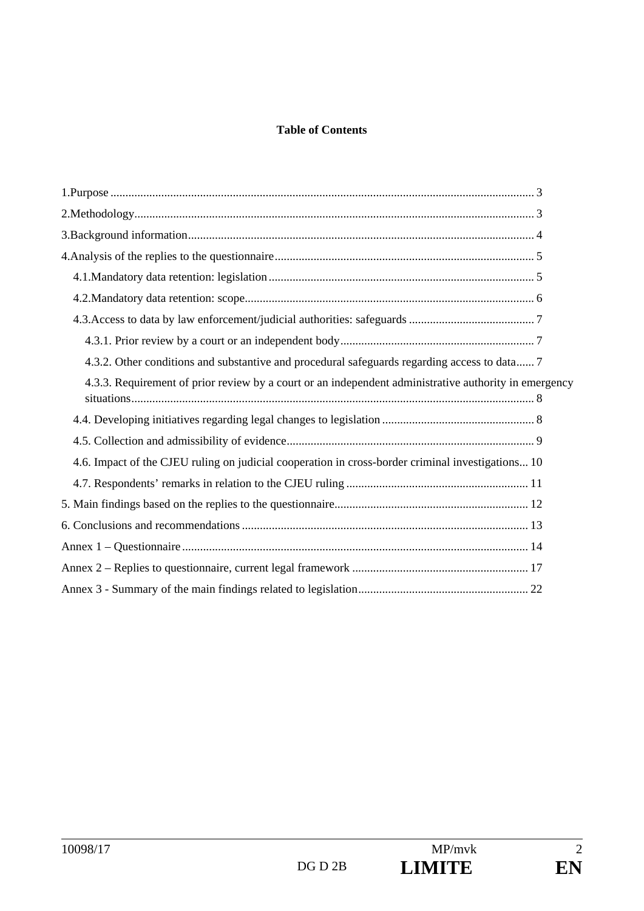#### **Table of Contents**

| 4.3.2. Other conditions and substantive and procedural safeguards regarding access to data 7          |  |
|-------------------------------------------------------------------------------------------------------|--|
| 4.3.3. Requirement of prior review by a court or an independent administrative authority in emergency |  |
|                                                                                                       |  |
|                                                                                                       |  |
| 4.6. Impact of the CJEU ruling on judicial cooperation in cross-border criminal investigations 10     |  |
|                                                                                                       |  |
|                                                                                                       |  |
|                                                                                                       |  |
|                                                                                                       |  |
|                                                                                                       |  |
|                                                                                                       |  |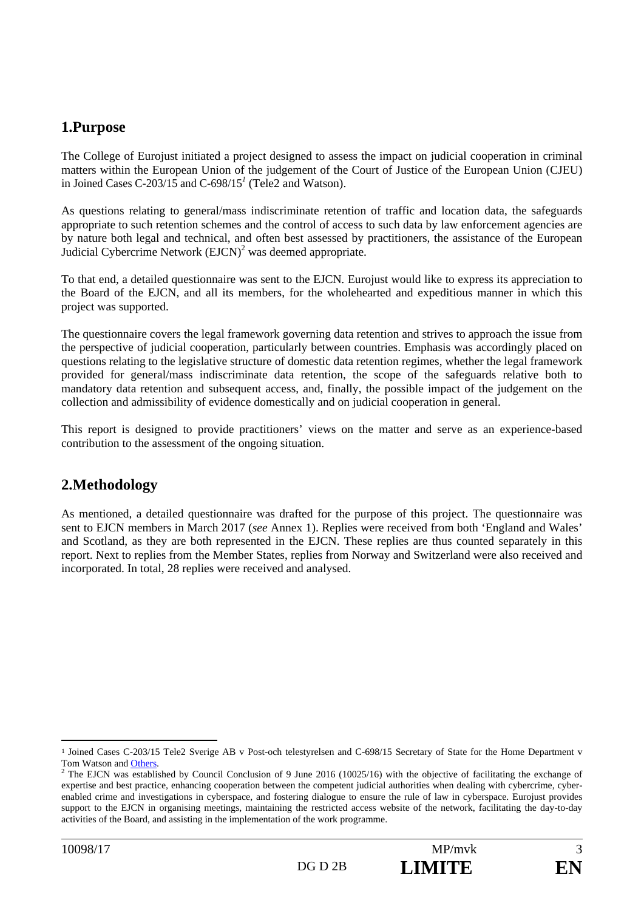## **1.Purpose**

The College of Eurojust initiated a project designed to assess the impact on judicial cooperation in criminal matters within the European Union of the judgement of the Court of Justice of the European Union (CJEU) in Joined Cases C-203/15 and C-698/15*<sup>1</sup>* (Tele2 and Watson).

As questions relating to general/mass indiscriminate retention of traffic and location data, the safeguards appropriate to such retention schemes and the control of access to such data by law enforcement agencies are by nature both legal and technical, and often best assessed by practitioners, the assistance of the European Judicial Cybercrime Network  $(EJCN)^2$  was deemed appropriate.

To that end, a detailed questionnaire was sent to the EJCN*.* Eurojust would like to express its appreciation to the Board of the EJCN, and all its members, for the wholehearted and expeditious manner in which this project was supported.

The questionnaire covers the legal framework governing data retention and strives to approach the issue from the perspective of judicial cooperation, particularly between countries. Emphasis was accordingly placed on questions relating to the legislative structure of domestic data retention regimes, whether the legal framework provided for general/mass indiscriminate data retention, the scope of the safeguards relative both to mandatory data retention and subsequent access, and, finally, the possible impact of the judgement on the collection and admissibility of evidence domestically and on judicial cooperation in general.

This report is designed to provide practitioners' views on the matter and serve as an experience-based contribution to the assessment of the ongoing situation.

# **2.Methodology**

As mentioned, a detailed questionnaire was drafted for the purpose of this project. The questionnaire was sent to EJCN members in March 2017 (*see* Annex 1). Replies were received from both 'England and Wales' and Scotland, as they are both represented in the EJCN. These replies are thus counted separately in this report. Next to replies from the Member States, replies from Norway and Switzerland were also received and incorporated. In total, 28 replies were received and analysed.

 <sup>1</sup> Joined Cases C-203/15 Tele2 Sverige AB v Post-och telestyrelsen and C-698/15 Secretary of State for the Home Department v Tom Watson and Others.

The EJCN was established by Council Conclusion of 9 June 2016 (10025/16) with the objective of facilitating the exchange of expertise and best practice, enhancing cooperation between the competent judicial authorities when dealing with cybercrime, cyberenabled crime and investigations in cyberspace, and fostering dialogue to ensure the rule of law in cyberspace. Eurojust provides support to the EJCN in organising meetings, maintaining the restricted access website of the network, facilitating the day-to-day activities of the Board, and assisting in the implementation of the work programme.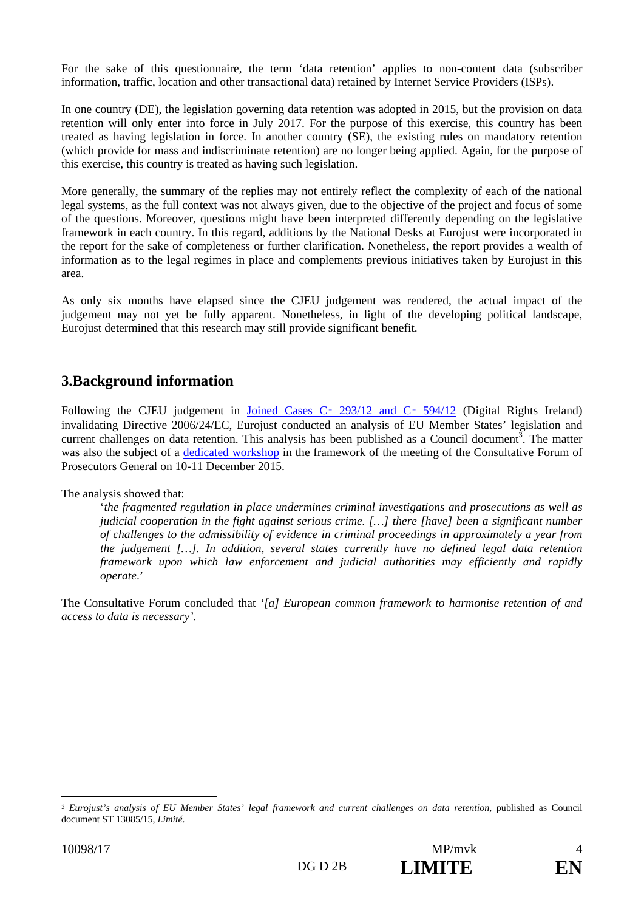For the sake of this questionnaire, the term 'data retention' applies to non-content data (subscriber information, traffic, location and other transactional data) retained by Internet Service Providers (ISPs).

In one country (DE), the legislation governing data retention was adopted in 2015, but the provision on data retention will only enter into force in July 2017. For the purpose of this exercise, this country has been treated as having legislation in force. In another country (SE), the existing rules on mandatory retention (which provide for mass and indiscriminate retention) are no longer being applied. Again, for the purpose of this exercise, this country is treated as having such legislation.

More generally, the summary of the replies may not entirely reflect the complexity of each of the national legal systems, as the full context was not always given, due to the objective of the project and focus of some of the questions. Moreover, questions might have been interpreted differently depending on the legislative framework in each country. In this regard, additions by the National Desks at Eurojust were incorporated in the report for the sake of completeness or further clarification. Nonetheless, the report provides a wealth of information as to the legal regimes in place and complements previous initiatives taken by Eurojust in this area.

As only six months have elapsed since the CJEU judgement was rendered, the actual impact of the judgement may not yet be fully apparent. Nonetheless, in light of the developing political landscape, Eurojust determined that this research may still provide significant benefit.

# **3.Background information**

Following the CJEU judgement in Joined Cases C - 293/12 and C - 594/12 (Digital Rights Ireland) invalidating Directive 2006/24/EC, Eurojust conducted an analysis of EU Member States' legislation and current challenges on data retention. This analysis has been published as a Council document<sup>3</sup>. The matter was also the subject of a dedicated workshop in the framework of the meeting of the Consultative Forum of Prosecutors General on 10-11 December 2015.

The analysis showed that:

'*the fragmented regulation in place undermines criminal investigations and prosecutions as well as judicial cooperation in the fight against serious crime. […] there [have] been a significant number of challenges to the admissibility of evidence in criminal proceedings in approximately a year from the judgement […]. In addition, several states currently have no defined legal data retention framework upon which law enforcement and judicial authorities may efficiently and rapidly operate*.'

The Consultative Forum concluded that *'[a] European common framework to harmonise retention of and access to data is necessary'.* 

<sup>3</sup> *Eurojust's analysis of EU Member States' legal framework and current challenges on data retention*, published as Council document ST 13085/15, *Limité*.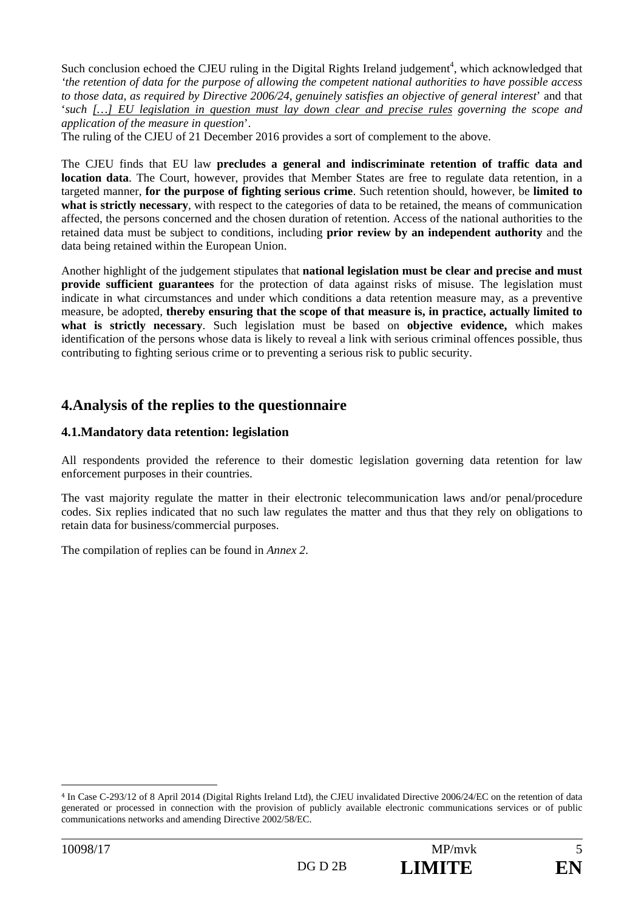Such conclusion echoed the CJEU ruling in the Digital Rights Ireland judgement<sup>4</sup>, which acknowledged that *'the retention of data for the purpose of allowing the competent national authorities to have possible access to those data, as required by Directive 2006/24, genuinely satisfies an objective of general interest*' and that '*such […] EU legislation in question must lay down clear and precise rules governing the scope and application of the measure in question*'.

The ruling of the CJEU of 21 December 2016 provides a sort of complement to the above.

The CJEU finds that EU law **precludes a general and indiscriminate retention of traffic data and location data**. The Court, however, provides that Member States are free to regulate data retention, in a targeted manner, **for the purpose of fighting serious crime**. Such retention should, however, be **limited to what is strictly necessary**, with respect to the categories of data to be retained, the means of communication affected, the persons concerned and the chosen duration of retention. Access of the national authorities to the retained data must be subject to conditions, including **prior review by an independent authority** and the data being retained within the European Union.

Another highlight of the judgement stipulates that **national legislation must be clear and precise and must provide sufficient guarantees** for the protection of data against risks of misuse. The legislation must indicate in what circumstances and under which conditions a data retention measure may, as a preventive measure, be adopted, **thereby ensuring that the scope of that measure is, in practice, actually limited to what is strictly necessary**. Such legislation must be based on **objective evidence,** which makes identification of the persons whose data is likely to reveal a link with serious criminal offences possible, thus contributing to fighting serious crime or to preventing a serious risk to public security.

## **4.Analysis of the replies to the questionnaire**

#### **4.1.Mandatory data retention: legislation**

All respondents provided the reference to their domestic legislation governing data retention for law enforcement purposes in their countries.

The vast majority regulate the matter in their electronic telecommunication laws and/or penal/procedure codes. Six replies indicated that no such law regulates the matter and thus that they rely on obligations to retain data for business/commercial purposes.

The compilation of replies can be found in *Annex 2*.

<sup>4</sup> In Case C-293/12 of 8 April 2014 (Digital Rights Ireland Ltd), the CJEU invalidated Directive 2006/24/EC on the retention of data generated or processed in connection with the provision of publicly available electronic communications services or of public communications networks and amending Directive 2002/58/EC.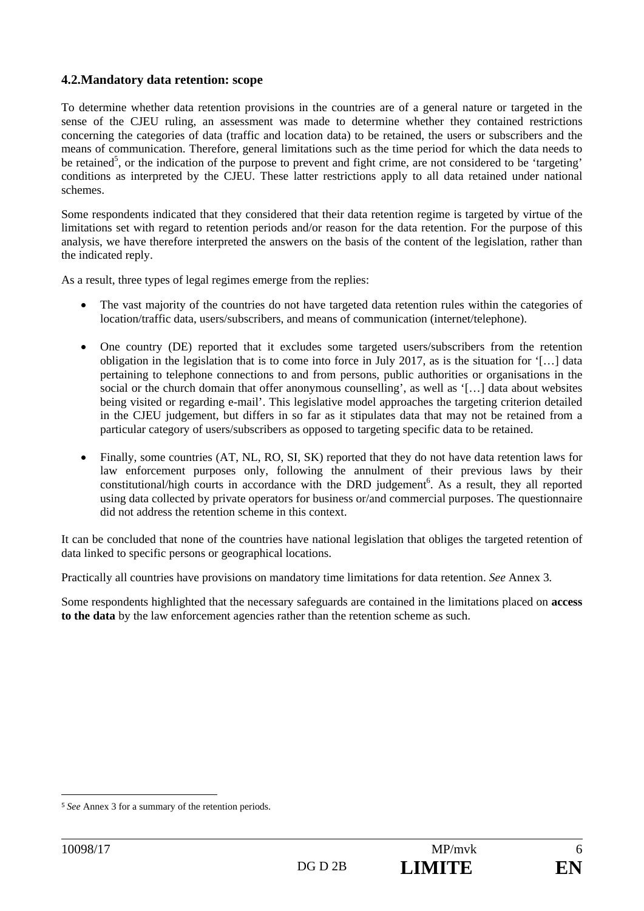#### **4.2.Mandatory data retention: scope**

To determine whether data retention provisions in the countries are of a general nature or targeted in the sense of the CJEU ruling, an assessment was made to determine whether they contained restrictions concerning the categories of data (traffic and location data) to be retained, the users or subscribers and the means of communication. Therefore, general limitations such as the time period for which the data needs to be retained<sup>5</sup>, or the indication of the purpose to prevent and fight crime, are not considered to be 'targeting' conditions as interpreted by the CJEU. These latter restrictions apply to all data retained under national schemes.

Some respondents indicated that they considered that their data retention regime is targeted by virtue of the limitations set with regard to retention periods and/or reason for the data retention. For the purpose of this analysis, we have therefore interpreted the answers on the basis of the content of the legislation, rather than the indicated reply.

As a result, three types of legal regimes emerge from the replies:

- The vast majority of the countries do not have targeted data retention rules within the categories of location/traffic data, users/subscribers, and means of communication (internet/telephone).
- One country (DE) reported that it excludes some targeted users/subscribers from the retention obligation in the legislation that is to come into force in July 2017, as is the situation for '[…] data pertaining to telephone connections to and from persons, public authorities or organisations in the social or the church domain that offer anonymous counselling', as well as '[…] data about websites being visited or regarding e-mail'. This legislative model approaches the targeting criterion detailed in the CJEU judgement, but differs in so far as it stipulates data that may not be retained from a particular category of users/subscribers as opposed to targeting specific data to be retained.
- Finally, some countries (AT, NL, RO, SI, SK) reported that they do not have data retention laws for law enforcement purposes only, following the annulment of their previous laws by their constitutional/high courts in accordance with the DRD judgement<sup>6</sup>. As a result, they all reported using data collected by private operators for business or/and commercial purposes. The questionnaire did not address the retention scheme in this context.

It can be concluded that none of the countries have national legislation that obliges the targeted retention of data linked to specific persons or geographical locations.

Practically all countries have provisions on mandatory time limitations for data retention. *See* Annex 3*.*

Some respondents highlighted that the necessary safeguards are contained in the limitations placed on **access to the data** by the law enforcement agencies rather than the retention scheme as such.

<sup>5</sup> *See* Annex 3 for a summary of the retention periods.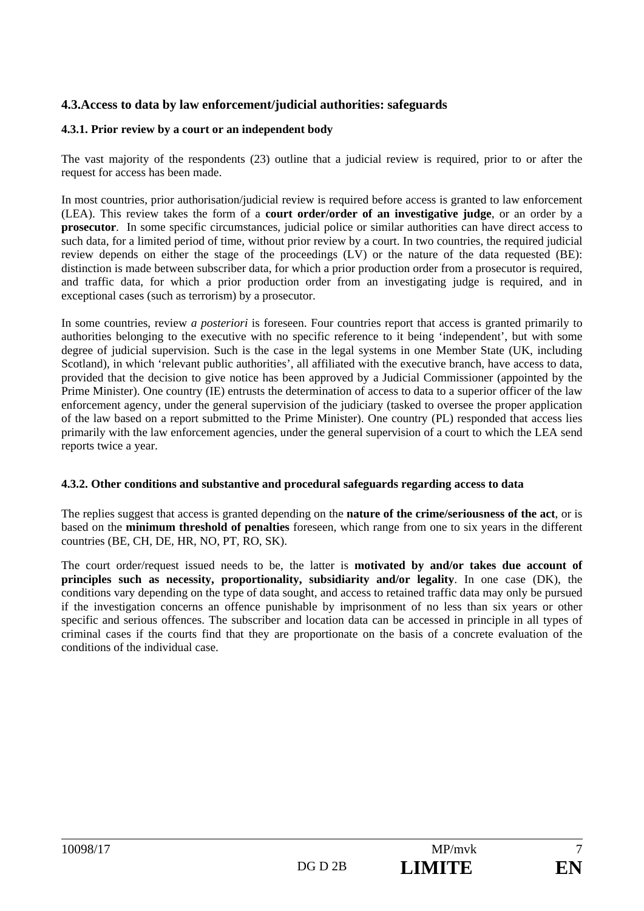#### **4.3.Access to data by law enforcement/judicial authorities: safeguards**

#### **4.3.1. Prior review by a court or an independent body**

The vast majority of the respondents (23) outline that a judicial review is required, prior to or after the request for access has been made.

In most countries, prior authorisation/judicial review is required before access is granted to law enforcement (LEA). This review takes the form of a **court order/order of an investigative judge**, or an order by a **prosecutor**. In some specific circumstances, judicial police or similar authorities can have direct access to such data, for a limited period of time, without prior review by a court. In two countries, the required judicial review depends on either the stage of the proceedings (LV) or the nature of the data requested (BE): distinction is made between subscriber data, for which a prior production order from a prosecutor is required, and traffic data, for which a prior production order from an investigating judge is required, and in exceptional cases (such as terrorism) by a prosecutor.

In some countries, review *a posteriori* is foreseen. Four countries report that access is granted primarily to authorities belonging to the executive with no specific reference to it being 'independent', but with some degree of judicial supervision. Such is the case in the legal systems in one Member State (UK, including Scotland), in which 'relevant public authorities', all affiliated with the executive branch, have access to data, provided that the decision to give notice has been approved by a Judicial Commissioner (appointed by the Prime Minister). One country (IE) entrusts the determination of access to data to a superior officer of the law enforcement agency, under the general supervision of the judiciary (tasked to oversee the proper application of the law based on a report submitted to the Prime Minister). One country (PL) responded that access lies primarily with the law enforcement agencies, under the general supervision of a court to which the LEA send reports twice a year.

#### **4.3.2. Other conditions and substantive and procedural safeguards regarding access to data**

The replies suggest that access is granted depending on the **nature of the crime/seriousness of the act**, or is based on the **minimum threshold of penalties** foreseen, which range from one to six years in the different countries (BE, CH, DE, HR, NO, PT, RO, SK).

The court order/request issued needs to be, the latter is **motivated by and/or takes due account of principles such as necessity, proportionality, subsidiarity and/or legality**. In one case (DK), the conditions vary depending on the type of data sought, and access to retained traffic data may only be pursued if the investigation concerns an offence punishable by imprisonment of no less than six years or other specific and serious offences. The subscriber and location data can be accessed in principle in all types of criminal cases if the courts find that they are proportionate on the basis of a concrete evaluation of the conditions of the individual case.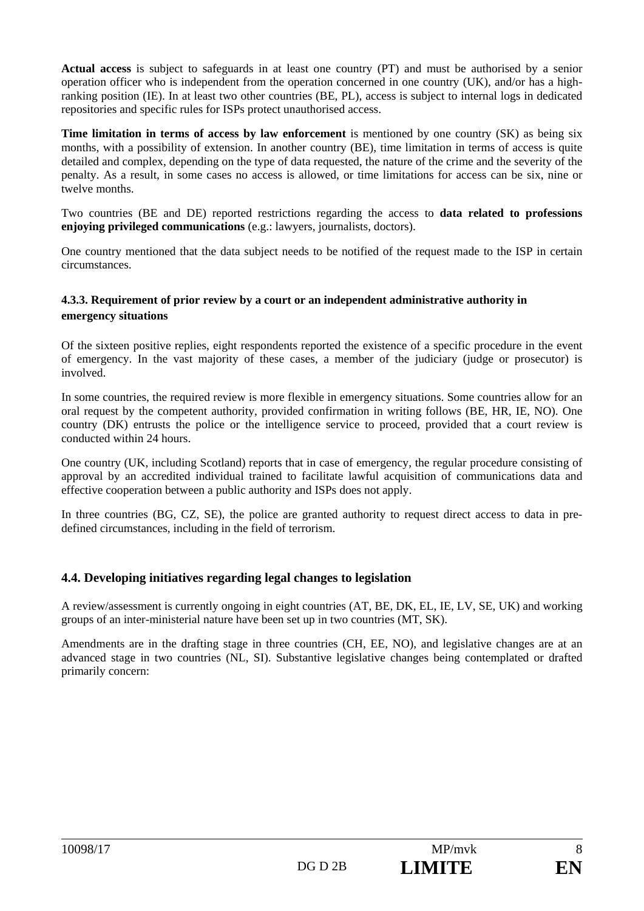**Actual access** is subject to safeguards in at least one country (PT) and must be authorised by a senior operation officer who is independent from the operation concerned in one country (UK), and/or has a highranking position (IE). In at least two other countries (BE, PL), access is subject to internal logs in dedicated repositories and specific rules for ISPs protect unauthorised access.

**Time limitation in terms of access by law enforcement** is mentioned by one country (SK) as being six months, with a possibility of extension. In another country (BE), time limitation in terms of access is quite detailed and complex, depending on the type of data requested, the nature of the crime and the severity of the penalty. As a result, in some cases no access is allowed, or time limitations for access can be six, nine or twelve months.

Two countries (BE and DE) reported restrictions regarding the access to **data related to professions enjoying privileged communications** (e.g.: lawyers, journalists, doctors).

One country mentioned that the data subject needs to be notified of the request made to the ISP in certain circumstances.

#### **4.3.3. Requirement of prior review by a court or an independent administrative authority in emergency situations**

Of the sixteen positive replies, eight respondents reported the existence of a specific procedure in the event of emergency. In the vast majority of these cases, a member of the judiciary (judge or prosecutor) is involved.

In some countries, the required review is more flexible in emergency situations. Some countries allow for an oral request by the competent authority, provided confirmation in writing follows (BE, HR, IE, NO). One country (DK) entrusts the police or the intelligence service to proceed, provided that a court review is conducted within 24 hours.

One country (UK, including Scotland) reports that in case of emergency, the regular procedure consisting of approval by an accredited individual trained to facilitate lawful acquisition of communications data and effective cooperation between a public authority and ISPs does not apply.

In three countries (BG, CZ, SE), the police are granted authority to request direct access to data in predefined circumstances, including in the field of terrorism.

#### **4.4. Developing initiatives regarding legal changes to legislation**

A review/assessment is currently ongoing in eight countries (AT, BE, DK, EL, IE, LV, SE, UK) and working groups of an inter-ministerial nature have been set up in two countries (MT, SK).

Amendments are in the drafting stage in three countries (CH, EE, NO), and legislative changes are at an advanced stage in two countries (NL, SI). Substantive legislative changes being contemplated or drafted primarily concern: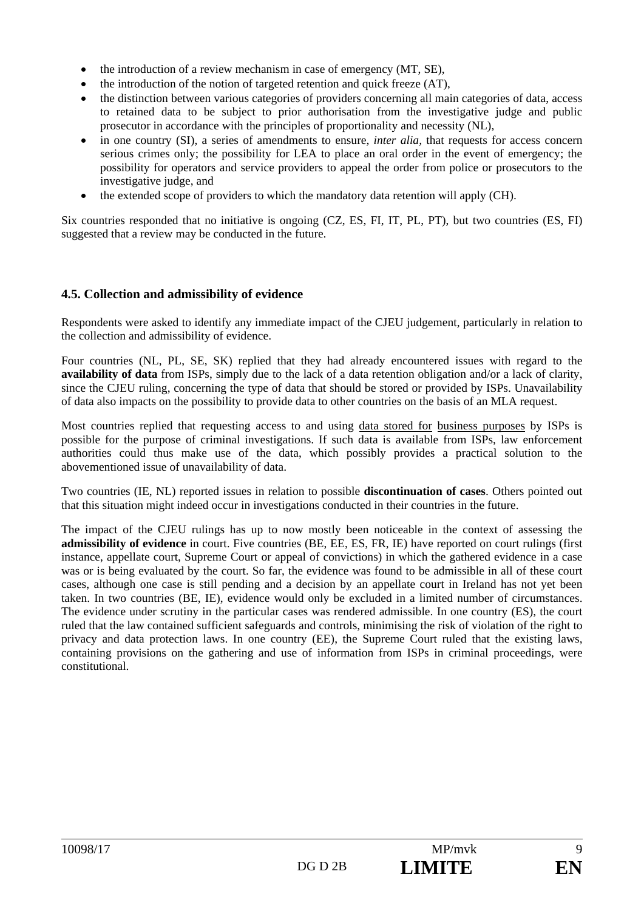- $\bullet$  the introduction of a review mechanism in case of emergency (MT, SE),
- the introduction of the notion of targeted retention and quick freeze (AT),
- the distinction between various categories of providers concerning all main categories of data, access to retained data to be subject to prior authorisation from the investigative judge and public prosecutor in accordance with the principles of proportionality and necessity (NL),
- in one country (SI), a series of amendments to ensure, *inter alia,* that requests for access concern serious crimes only; the possibility for LEA to place an oral order in the event of emergency; the possibility for operators and service providers to appeal the order from police or prosecutors to the investigative judge, and
- $\bullet$  the extended scope of providers to which the mandatory data retention will apply (CH).

Six countries responded that no initiative is ongoing (CZ, ES, FI, IT, PL, PT), but two countries (ES, FI) suggested that a review may be conducted in the future.

#### **4.5. Collection and admissibility of evidence**

Respondents were asked to identify any immediate impact of the CJEU judgement, particularly in relation to the collection and admissibility of evidence.

Four countries (NL, PL, SE, SK) replied that they had already encountered issues with regard to the **availability of data** from ISPs, simply due to the lack of a data retention obligation and/or a lack of clarity, since the CJEU ruling, concerning the type of data that should be stored or provided by ISPs. Unavailability of data also impacts on the possibility to provide data to other countries on the basis of an MLA request.

Most countries replied that requesting access to and using data stored for business purposes by ISPs is possible for the purpose of criminal investigations. If such data is available from ISPs, law enforcement authorities could thus make use of the data, which possibly provides a practical solution to the abovementioned issue of unavailability of data.

Two countries (IE, NL) reported issues in relation to possible **discontinuation of cases**. Others pointed out that this situation might indeed occur in investigations conducted in their countries in the future.

The impact of the CJEU rulings has up to now mostly been noticeable in the context of assessing the **admissibility of evidence** in court. Five countries (BE, EE, ES, FR, IE) have reported on court rulings (first instance, appellate court, Supreme Court or appeal of convictions) in which the gathered evidence in a case was or is being evaluated by the court. So far, the evidence was found to be admissible in all of these court cases, although one case is still pending and a decision by an appellate court in Ireland has not yet been taken. In two countries (BE, IE), evidence would only be excluded in a limited number of circumstances. The evidence under scrutiny in the particular cases was rendered admissible. In one country (ES), the court ruled that the law contained sufficient safeguards and controls, minimising the risk of violation of the right to privacy and data protection laws. In one country (EE), the Supreme Court ruled that the existing laws, containing provisions on the gathering and use of information from ISPs in criminal proceedings, were constitutional.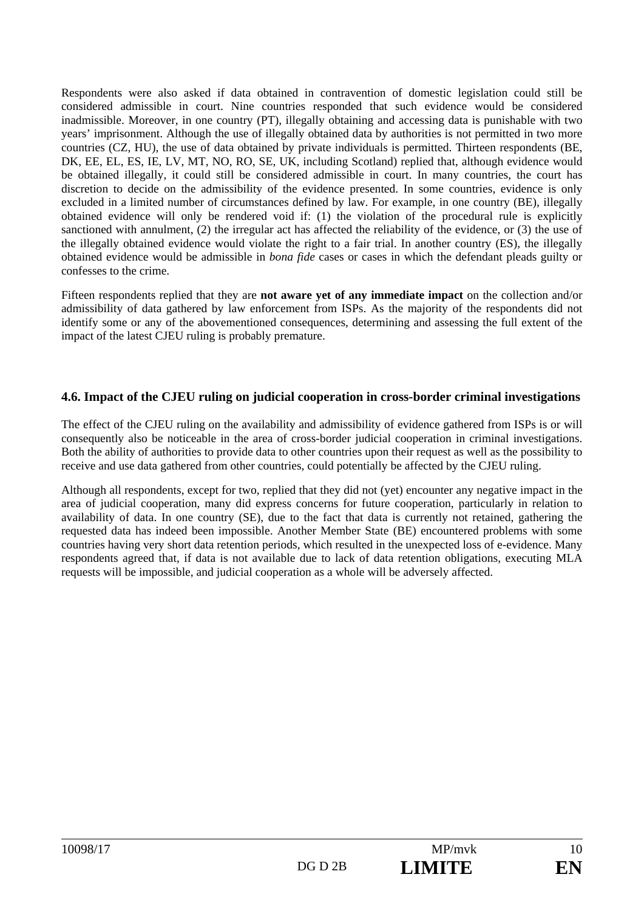Respondents were also asked if data obtained in contravention of domestic legislation could still be considered admissible in court. Nine countries responded that such evidence would be considered inadmissible. Moreover, in one country (PT), illegally obtaining and accessing data is punishable with two years' imprisonment. Although the use of illegally obtained data by authorities is not permitted in two more countries (CZ, HU), the use of data obtained by private individuals is permitted. Thirteen respondents (BE, DK, EE, EL, ES, IE, LV, MT, NO, RO, SE, UK, including Scotland) replied that, although evidence would be obtained illegally, it could still be considered admissible in court. In many countries, the court has discretion to decide on the admissibility of the evidence presented. In some countries, evidence is only excluded in a limited number of circumstances defined by law. For example, in one country (BE), illegally obtained evidence will only be rendered void if: (1) the violation of the procedural rule is explicitly sanctioned with annulment, (2) the irregular act has affected the reliability of the evidence, or (3) the use of the illegally obtained evidence would violate the right to a fair trial. In another country (ES), the illegally obtained evidence would be admissible in *bona fide* cases or cases in which the defendant pleads guilty or confesses to the crime.

Fifteen respondents replied that they are **not aware yet of any immediate impact** on the collection and/or admissibility of data gathered by law enforcement from ISPs. As the majority of the respondents did not identify some or any of the abovementioned consequences, determining and assessing the full extent of the impact of the latest CJEU ruling is probably premature.

#### **4.6. Impact of the CJEU ruling on judicial cooperation in cross-border criminal investigations**

The effect of the CJEU ruling on the availability and admissibility of evidence gathered from ISPs is or will consequently also be noticeable in the area of cross-border judicial cooperation in criminal investigations. Both the ability of authorities to provide data to other countries upon their request as well as the possibility to receive and use data gathered from other countries, could potentially be affected by the CJEU ruling.

Although all respondents, except for two, replied that they did not (yet) encounter any negative impact in the area of judicial cooperation, many did express concerns for future cooperation, particularly in relation to availability of data. In one country (SE), due to the fact that data is currently not retained, gathering the requested data has indeed been impossible. Another Member State (BE) encountered problems with some countries having very short data retention periods, which resulted in the unexpected loss of e-evidence. Many respondents agreed that, if data is not available due to lack of data retention obligations, executing MLA requests will be impossible, and judicial cooperation as a whole will be adversely affected.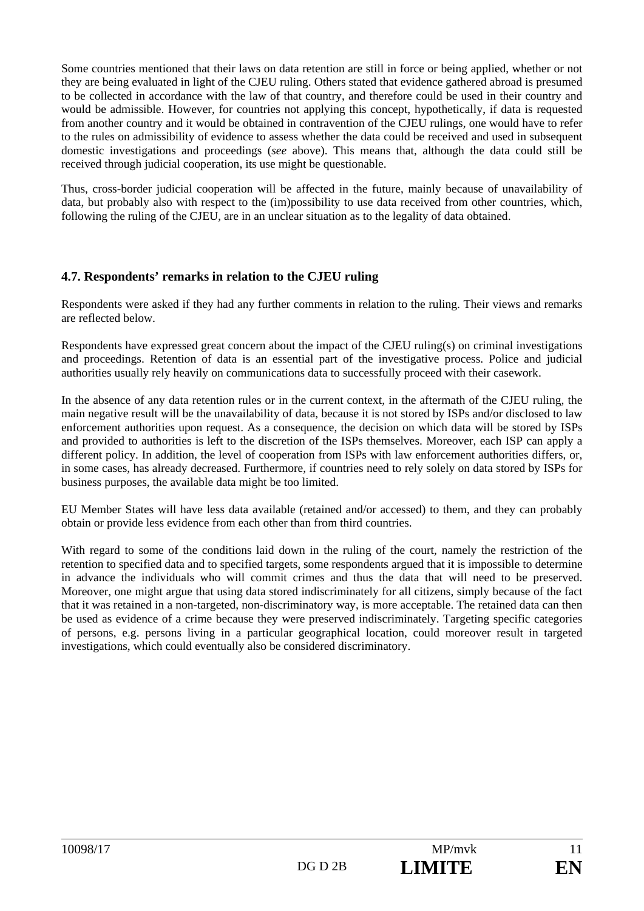Some countries mentioned that their laws on data retention are still in force or being applied, whether or not they are being evaluated in light of the CJEU ruling. Others stated that evidence gathered abroad is presumed to be collected in accordance with the law of that country, and therefore could be used in their country and would be admissible. However, for countries not applying this concept, hypothetically, if data is requested from another country and it would be obtained in contravention of the CJEU rulings, one would have to refer to the rules on admissibility of evidence to assess whether the data could be received and used in subsequent domestic investigations and proceedings (*see* above). This means that, although the data could still be received through judicial cooperation, its use might be questionable.

Thus, cross-border judicial cooperation will be affected in the future, mainly because of unavailability of data, but probably also with respect to the (im)possibility to use data received from other countries, which, following the ruling of the CJEU, are in an unclear situation as to the legality of data obtained.

#### **4.7. Respondents' remarks in relation to the CJEU ruling**

Respondents were asked if they had any further comments in relation to the ruling. Their views and remarks are reflected below.

Respondents have expressed great concern about the impact of the CJEU ruling(s) on criminal investigations and proceedings. Retention of data is an essential part of the investigative process. Police and judicial authorities usually rely heavily on communications data to successfully proceed with their casework.

In the absence of any data retention rules or in the current context, in the aftermath of the CJEU ruling, the main negative result will be the unavailability of data, because it is not stored by ISPs and/or disclosed to law enforcement authorities upon request. As a consequence, the decision on which data will be stored by ISPs and provided to authorities is left to the discretion of the ISPs themselves. Moreover, each ISP can apply a different policy. In addition, the level of cooperation from ISPs with law enforcement authorities differs, or, in some cases, has already decreased. Furthermore, if countries need to rely solely on data stored by ISPs for business purposes, the available data might be too limited.

EU Member States will have less data available (retained and/or accessed) to them, and they can probably obtain or provide less evidence from each other than from third countries.

With regard to some of the conditions laid down in the ruling of the court, namely the restriction of the retention to specified data and to specified targets, some respondents argued that it is impossible to determine in advance the individuals who will commit crimes and thus the data that will need to be preserved. Moreover, one might argue that using data stored indiscriminately for all citizens, simply because of the fact that it was retained in a non-targeted, non-discriminatory way, is more acceptable. The retained data can then be used as evidence of a crime because they were preserved indiscriminately. Targeting specific categories of persons, e.g. persons living in a particular geographical location, could moreover result in targeted investigations, which could eventually also be considered discriminatory.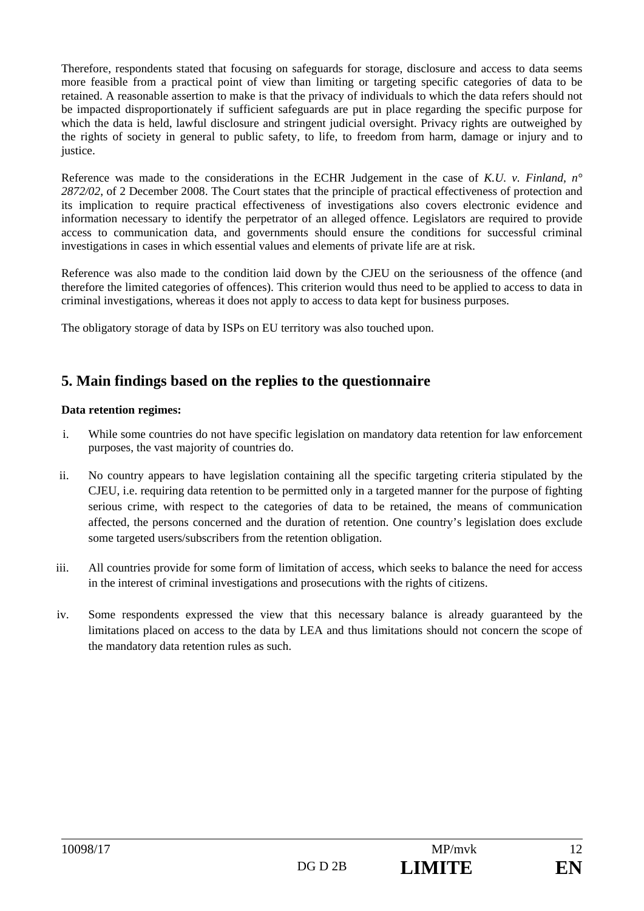Therefore, respondents stated that focusing on safeguards for storage, disclosure and access to data seems more feasible from a practical point of view than limiting or targeting specific categories of data to be retained. A reasonable assertion to make is that the privacy of individuals to which the data refers should not be impacted disproportionately if sufficient safeguards are put in place regarding the specific purpose for which the data is held, lawful disclosure and stringent judicial oversight. Privacy rights are outweighed by the rights of society in general to public safety, to life, to freedom from harm, damage or injury and to justice.

Reference was made to the considerations in the ECHR Judgement in the case of *K.U. v. Finland, n° 2872/02*, of 2 December 2008. The Court states that the principle of practical effectiveness of protection and its implication to require practical effectiveness of investigations also covers electronic evidence and information necessary to identify the perpetrator of an alleged offence. Legislators are required to provide access to communication data, and governments should ensure the conditions for successful criminal investigations in cases in which essential values and elements of private life are at risk.

Reference was also made to the condition laid down by the CJEU on the seriousness of the offence (and therefore the limited categories of offences). This criterion would thus need to be applied to access to data in criminal investigations, whereas it does not apply to access to data kept for business purposes.

The obligatory storage of data by ISPs on EU territory was also touched upon.

# **5. Main findings based on the replies to the questionnaire**

#### **Data retention regimes:**

- i. While some countries do not have specific legislation on mandatory data retention for law enforcement purposes, the vast majority of countries do.
- ii. No country appears to have legislation containing all the specific targeting criteria stipulated by the CJEU, i.e. requiring data retention to be permitted only in a targeted manner for the purpose of fighting serious crime, with respect to the categories of data to be retained, the means of communication affected, the persons concerned and the duration of retention. One country's legislation does exclude some targeted users/subscribers from the retention obligation.
- iii. All countries provide for some form of limitation of access, which seeks to balance the need for access in the interest of criminal investigations and prosecutions with the rights of citizens.
- iv. Some respondents expressed the view that this necessary balance is already guaranteed by the limitations placed on access to the data by LEA and thus limitations should not concern the scope of the mandatory data retention rules as such.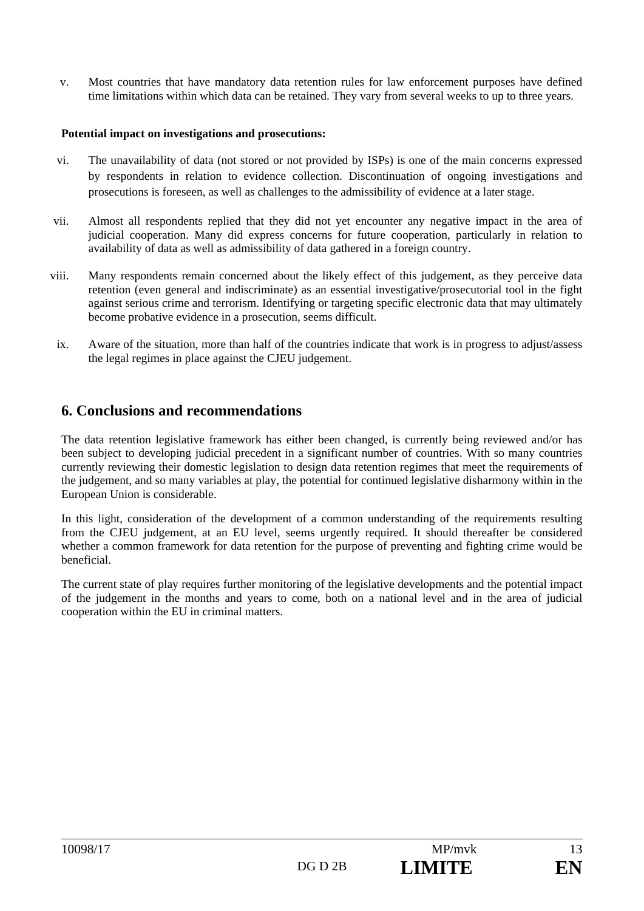v. Most countries that have mandatory data retention rules for law enforcement purposes have defined time limitations within which data can be retained. They vary from several weeks to up to three years.

#### **Potential impact on investigations and prosecutions:**

- vi. The unavailability of data (not stored or not provided by ISPs) is one of the main concerns expressed by respondents in relation to evidence collection. Discontinuation of ongoing investigations and prosecutions is foreseen, as well as challenges to the admissibility of evidence at a later stage.
- vii. Almost all respondents replied that they did not yet encounter any negative impact in the area of judicial cooperation. Many did express concerns for future cooperation, particularly in relation to availability of data as well as admissibility of data gathered in a foreign country.
- viii. Many respondents remain concerned about the likely effect of this judgement, as they perceive data retention (even general and indiscriminate) as an essential investigative/prosecutorial tool in the fight against serious crime and terrorism. Identifying or targeting specific electronic data that may ultimately become probative evidence in a prosecution, seems difficult.
	- ix. Aware of the situation, more than half of the countries indicate that work is in progress to adjust/assess the legal regimes in place against the CJEU judgement.

### **6. Conclusions and recommendations**

The data retention legislative framework has either been changed, is currently being reviewed and/or has been subject to developing judicial precedent in a significant number of countries. With so many countries currently reviewing their domestic legislation to design data retention regimes that meet the requirements of the judgement, and so many variables at play, the potential for continued legislative disharmony within in the European Union is considerable.

In this light, consideration of the development of a common understanding of the requirements resulting from the CJEU judgement, at an EU level, seems urgently required. It should thereafter be considered whether a common framework for data retention for the purpose of preventing and fighting crime would be beneficial.

The current state of play requires further monitoring of the legislative developments and the potential impact of the judgement in the months and years to come, both on a national level and in the area of judicial cooperation within the EU in criminal matters.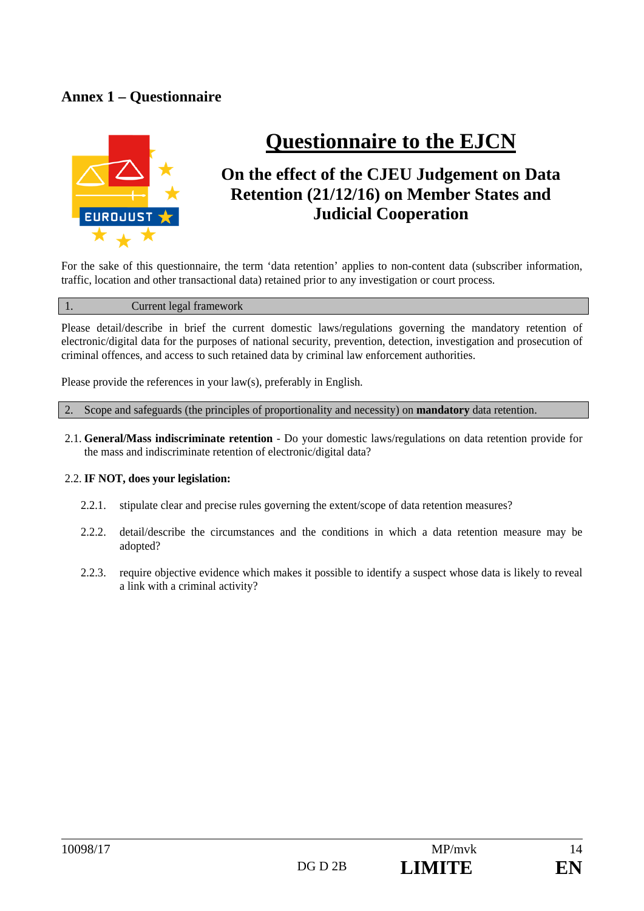# **Annex 1 – Questionnaire**



# **Questionnaire to the EJCN**

# **On the effect of the CJEU Judgement on Data Retention (21/12/16) on Member States and Judicial Cooperation**

For the sake of this questionnaire, the term 'data retention' applies to non-content data (subscriber information, traffic, location and other transactional data) retained prior to any investigation or court process.

#### 1. Current legal framework

Please detail/describe in brief the current domestic laws/regulations governing the mandatory retention of electronic/digital data for the purposes of national security, prevention, detection, investigation and prosecution of criminal offences, and access to such retained data by criminal law enforcement authorities.

Please provide the references in your law(s), preferably in English.

2. Scope and safeguards (the principles of proportionality and necessity) on **mandatory** data retention.

2.1. **General/Mass indiscriminate retention** - Do your domestic laws/regulations on data retention provide for the mass and indiscriminate retention of electronic/digital data?

#### 2.2. **IF NOT, does your legislation:**

- 2.2.1. stipulate clear and precise rules governing the extent/scope of data retention measures?
- 2.2.2. detail/describe the circumstances and the conditions in which a data retention measure may be adopted?
- 2.2.3. require objective evidence which makes it possible to identify a suspect whose data is likely to reveal a link with a criminal activity?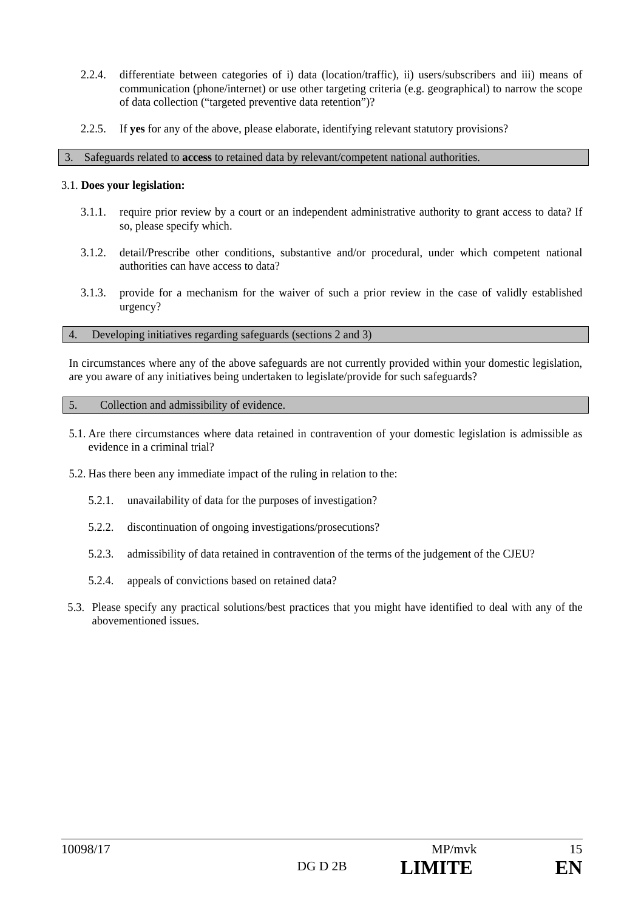- 2.2.4. differentiate between categories of i) data (location/traffic), ii) users/subscribers and iii) means of communication (phone/internet) or use other targeting criteria (e.g. geographical) to narrow the scope of data collection ("targeted preventive data retention")?
- 2.2.5. If **yes** for any of the above, please elaborate, identifying relevant statutory provisions?

#### 3. Safeguards related to **access** to retained data by relevant/competent national authorities.

#### 3.1. **Does your legislation:**

- 3.1.1. require prior review by a court or an independent administrative authority to grant access to data? If so, please specify which.
- 3.1.2. detail/Prescribe other conditions, substantive and/or procedural, under which competent national authorities can have access to data?
- 3.1.3. provide for a mechanism for the waiver of such a prior review in the case of validly established urgency?

#### 4. Developing initiatives regarding safeguards (sections 2 and 3)

In circumstances where any of the above safeguards are not currently provided within your domestic legislation, are you aware of any initiatives being undertaken to legislate/provide for such safeguards?

#### 5. Collection and admissibility of evidence.

- 5.1. Are there circumstances where data retained in contravention of your domestic legislation is admissible as evidence in a criminal trial?
- 5.2. Has there been any immediate impact of the ruling in relation to the:
	- 5.2.1. unavailability of data for the purposes of investigation?
	- 5.2.2. discontinuation of ongoing investigations/prosecutions?
	- 5.2.3. admissibility of data retained in contravention of the terms of the judgement of the CJEU?
	- 5.2.4. appeals of convictions based on retained data?
- 5.3. Please specify any practical solutions/best practices that you might have identified to deal with any of the abovementioned issues.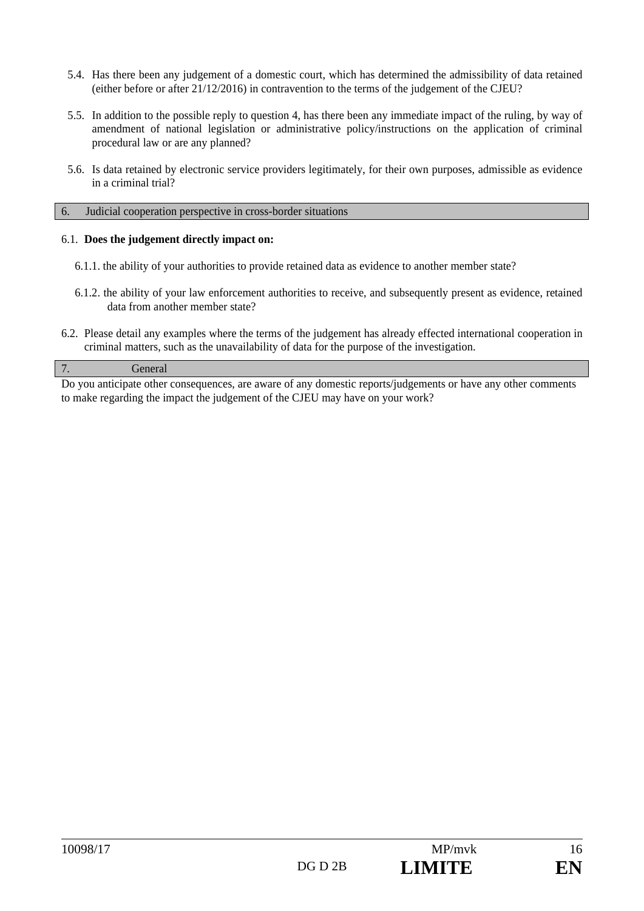- 5.4. Has there been any judgement of a domestic court, which has determined the admissibility of data retained (either before or after 21/12/2016) in contravention to the terms of the judgement of the CJEU?
- 5.5. In addition to the possible reply to question 4, has there been any immediate impact of the ruling, by way of amendment of national legislation or administrative policy/instructions on the application of criminal procedural law or are any planned?
- 5.6. Is data retained by electronic service providers legitimately, for their own purposes, admissible as evidence in a criminal trial?

#### 6. Judicial cooperation perspective in cross-border situations

#### 6.1. **Does the judgement directly impact on:**

- 6.1.1. the ability of your authorities to provide retained data as evidence to another member state?
- 6.1.2. the ability of your law enforcement authorities to receive, and subsequently present as evidence, retained data from another member state?
- 6.2. Please detail any examples where the terms of the judgement has already effected international cooperation in criminal matters, such as the unavailability of data for the purpose of the investigation.

#### 7. General

Do you anticipate other consequences, are aware of any domestic reports/judgements or have any other comments to make regarding the impact the judgement of the CJEU may have on your work?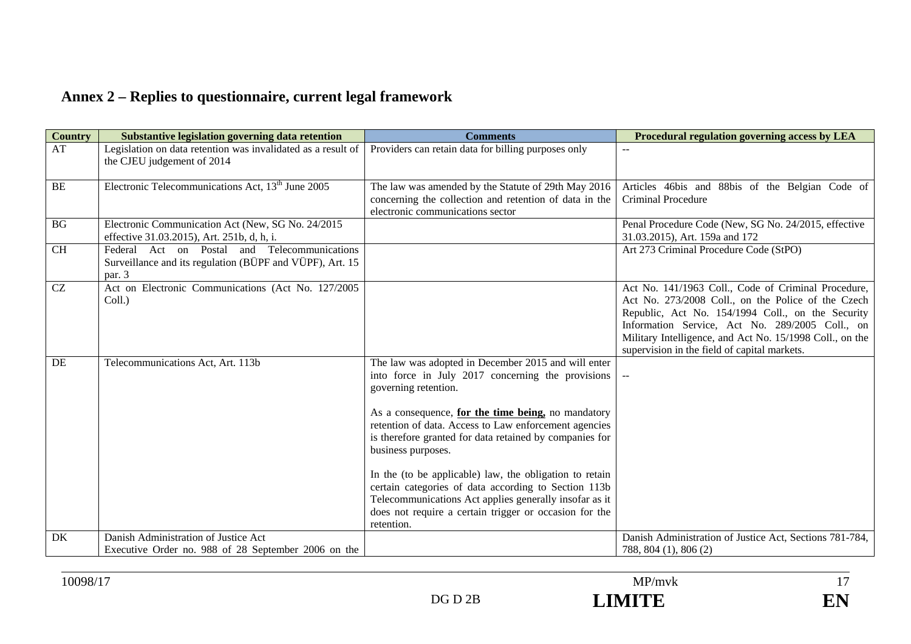# **Annex 2 – Replies to questionnaire, current legal framework**

| <b>Country</b> | Substantive legislation governing data retention                                                                   | <b>Comments</b>                                                                                                                                                                                                                                                                                                                                                                                                                                                                                                                                                                       | Procedural regulation governing access by LEA                                                                                                                                                                                                                                                                                 |
|----------------|--------------------------------------------------------------------------------------------------------------------|---------------------------------------------------------------------------------------------------------------------------------------------------------------------------------------------------------------------------------------------------------------------------------------------------------------------------------------------------------------------------------------------------------------------------------------------------------------------------------------------------------------------------------------------------------------------------------------|-------------------------------------------------------------------------------------------------------------------------------------------------------------------------------------------------------------------------------------------------------------------------------------------------------------------------------|
| AT             | Legislation on data retention was invalidated as a result of<br>the CJEU judgement of 2014                         | Providers can retain data for billing purposes only                                                                                                                                                                                                                                                                                                                                                                                                                                                                                                                                   |                                                                                                                                                                                                                                                                                                                               |
| BE             | Electronic Telecommunications Act, $13th$ June 2005                                                                | The law was amended by the Statute of 29th May 2016<br>concerning the collection and retention of data in the<br>electronic communications sector                                                                                                                                                                                                                                                                                                                                                                                                                                     | Articles 46bis and 88bis of the Belgian Code of<br><b>Criminal Procedure</b>                                                                                                                                                                                                                                                  |
| BG             | Electronic Communication Act (New, SG No. 24/2015<br>effective 31.03.2015), Art. 251b, d, h, i.                    |                                                                                                                                                                                                                                                                                                                                                                                                                                                                                                                                                                                       | Penal Procedure Code (New, SG No. 24/2015, effective<br>31.03.2015), Art. 159a and 172                                                                                                                                                                                                                                        |
| <b>CH</b>      | Federal Act on Postal and Telecommunications<br>Surveillance and its regulation (BÜPF and VÜPF), Art. 15<br>par. 3 |                                                                                                                                                                                                                                                                                                                                                                                                                                                                                                                                                                                       | Art 273 Criminal Procedure Code (StPO)                                                                                                                                                                                                                                                                                        |
| CZ             | Act on Electronic Communications (Act No. 127/2005<br>Coll.)                                                       |                                                                                                                                                                                                                                                                                                                                                                                                                                                                                                                                                                                       | Act No. 141/1963 Coll., Code of Criminal Procedure,<br>Act No. 273/2008 Coll., on the Police of the Czech<br>Republic, Act No. 154/1994 Coll., on the Security<br>Information Service, Act No. 289/2005 Coll., on<br>Military Intelligence, and Act No. 15/1998 Coll., on the<br>supervision in the field of capital markets. |
| DE             | Telecommunications Act, Art. 113b                                                                                  | The law was adopted in December 2015 and will enter<br>into force in July 2017 concerning the provisions<br>governing retention.<br>As a consequence, for the time being, no mandatory<br>retention of data. Access to Law enforcement agencies<br>is therefore granted for data retained by companies for<br>business purposes.<br>In the (to be applicable) law, the obligation to retain<br>certain categories of data according to Section 113b<br>Telecommunications Act applies generally insofar as it<br>does not require a certain trigger or occasion for the<br>retention. |                                                                                                                                                                                                                                                                                                                               |
| DK             | Danish Administration of Justice Act<br>Executive Order no. 988 of 28 September 2006 on the                        |                                                                                                                                                                                                                                                                                                                                                                                                                                                                                                                                                                                       | Danish Administration of Justice Act, Sections 781-784,<br>788, 804 (1), 806 (2)                                                                                                                                                                                                                                              |

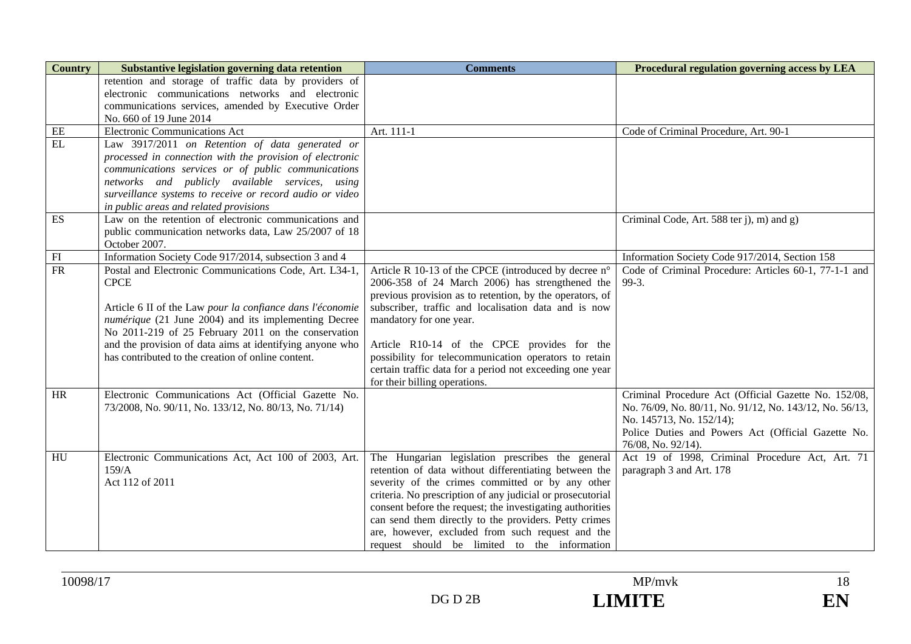| <b>Country</b>             | Substantive legislation governing data retention                                                             | <b>Comments</b>                                                                                                         | Procedural regulation governing access by LEA                                                                   |
|----------------------------|--------------------------------------------------------------------------------------------------------------|-------------------------------------------------------------------------------------------------------------------------|-----------------------------------------------------------------------------------------------------------------|
|                            | retention and storage of traffic data by providers of<br>electronic communications networks and electronic   |                                                                                                                         |                                                                                                                 |
|                            | communications services, amended by Executive Order                                                          |                                                                                                                         |                                                                                                                 |
|                            | No. 660 of 19 June 2014                                                                                      |                                                                                                                         |                                                                                                                 |
| $\rm EE$                   | <b>Electronic Communications Act</b>                                                                         | Art. 111-1                                                                                                              | Code of Criminal Procedure, Art. 90-1                                                                           |
| EL                         | Law 3917/2011 on Retention of data generated or                                                              |                                                                                                                         |                                                                                                                 |
|                            | processed in connection with the provision of electronic                                                     |                                                                                                                         |                                                                                                                 |
|                            | communications services or of public communications                                                          |                                                                                                                         |                                                                                                                 |
|                            | networks and publicly available services, using<br>surveillance systems to receive or record audio or video  |                                                                                                                         |                                                                                                                 |
|                            | in public areas and related provisions                                                                       |                                                                                                                         |                                                                                                                 |
| ES                         | Law on the retention of electronic communications and                                                        |                                                                                                                         | Criminal Code, Art. 588 ter j), m) and g)                                                                       |
|                            | public communication networks data, Law 25/2007 of 18                                                        |                                                                                                                         |                                                                                                                 |
|                            | October 2007.                                                                                                |                                                                                                                         |                                                                                                                 |
| $\mathop{\rm FI}\nolimits$ | Information Society Code 917/2014, subsection 3 and 4                                                        |                                                                                                                         | Information Society Code 917/2014, Section 158                                                                  |
| $\overline{\text{FR}}$     | Postal and Electronic Communications Code, Art. L34-1,                                                       | Article R 10-13 of the CPCE (introduced by decree n°                                                                    | Code of Criminal Procedure: Articles 60-1, 77-1-1 and                                                           |
|                            | <b>CPCE</b>                                                                                                  | 2006-358 of 24 March 2006) has strengthened the<br>previous provision as to retention, by the operators, of             | 99-3.                                                                                                           |
|                            | Article 6 II of the Law pour la confiance dans l'économie                                                    | subscriber, traffic and localisation data and is now                                                                    |                                                                                                                 |
|                            | numérique (21 June 2004) and its implementing Decree                                                         | mandatory for one year.                                                                                                 |                                                                                                                 |
|                            | No 2011-219 of 25 February 2011 on the conservation                                                          |                                                                                                                         |                                                                                                                 |
|                            | and the provision of data aims at identifying anyone who                                                     | Article R10-14 of the CPCE provides for the                                                                             |                                                                                                                 |
|                            | has contributed to the creation of online content.                                                           | possibility for telecommunication operators to retain                                                                   |                                                                                                                 |
|                            |                                                                                                              | certain traffic data for a period not exceeding one year                                                                |                                                                                                                 |
|                            |                                                                                                              | for their billing operations.                                                                                           |                                                                                                                 |
| HR                         | Electronic Communications Act (Official Gazette No.<br>73/2008, No. 90/11, No. 133/12, No. 80/13, No. 71/14) |                                                                                                                         | Criminal Procedure Act (Official Gazette No. 152/08,<br>No. 76/09, No. 80/11, No. 91/12, No. 143/12, No. 56/13, |
|                            |                                                                                                              |                                                                                                                         | No. 145713, No. 152/14);                                                                                        |
|                            |                                                                                                              |                                                                                                                         | Police Duties and Powers Act (Official Gazette No.                                                              |
|                            |                                                                                                              |                                                                                                                         | 76/08, No. 92/14).                                                                                              |
| HU                         | Electronic Communications Act, Act 100 of 2003, Art.                                                         | The Hungarian legislation prescribes the general                                                                        | Act 19 of 1998, Criminal Procedure Act, Art. 71                                                                 |
|                            | 159/A                                                                                                        | retention of data without differentiating between the                                                                   | paragraph 3 and Art. 178                                                                                        |
|                            | Act 112 of 2011                                                                                              | severity of the crimes committed or by any other                                                                        |                                                                                                                 |
|                            |                                                                                                              | criteria. No prescription of any judicial or prosecutorial<br>consent before the request; the investigating authorities |                                                                                                                 |
|                            |                                                                                                              | can send them directly to the providers. Petty crimes                                                                   |                                                                                                                 |
|                            |                                                                                                              | are, however, excluded from such request and the                                                                        |                                                                                                                 |
|                            |                                                                                                              | request should be limited to the information                                                                            |                                                                                                                 |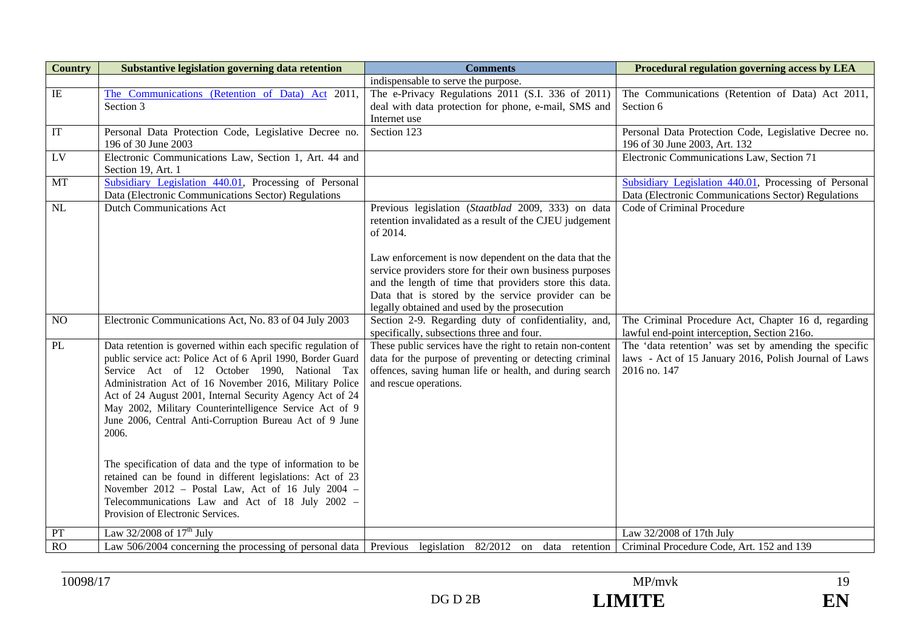| <b>Country</b>  | Substantive legislation governing data retention                                                                                                                                                                                                                                                                                                                                                                                                                                                                                                                                                                                                                                                                | <b>Comments</b>                                                                                                                                                                                                                                                                                                                                                                                               | Procedural regulation governing access by LEA                                                                                  |
|-----------------|-----------------------------------------------------------------------------------------------------------------------------------------------------------------------------------------------------------------------------------------------------------------------------------------------------------------------------------------------------------------------------------------------------------------------------------------------------------------------------------------------------------------------------------------------------------------------------------------------------------------------------------------------------------------------------------------------------------------|---------------------------------------------------------------------------------------------------------------------------------------------------------------------------------------------------------------------------------------------------------------------------------------------------------------------------------------------------------------------------------------------------------------|--------------------------------------------------------------------------------------------------------------------------------|
|                 |                                                                                                                                                                                                                                                                                                                                                                                                                                                                                                                                                                                                                                                                                                                 | indispensable to serve the purpose.                                                                                                                                                                                                                                                                                                                                                                           |                                                                                                                                |
| $\rm IE$        | The Communications (Retention of Data) Act 2011,<br>Section 3                                                                                                                                                                                                                                                                                                                                                                                                                                                                                                                                                                                                                                                   | The e-Privacy Regulations 2011 (S.I. 336 of 2011)<br>deal with data protection for phone, e-mail, SMS and<br>Internet use                                                                                                                                                                                                                                                                                     | The Communications (Retention of Data) Act 2011,<br>Section 6                                                                  |
| IT              | Personal Data Protection Code, Legislative Decree no.<br>196 of 30 June 2003                                                                                                                                                                                                                                                                                                                                                                                                                                                                                                                                                                                                                                    | Section 123                                                                                                                                                                                                                                                                                                                                                                                                   | Personal Data Protection Code, Legislative Decree no.<br>196 of 30 June 2003, Art. 132                                         |
| $\overline{LV}$ | Electronic Communications Law, Section 1, Art. 44 and<br>Section 19, Art. 1                                                                                                                                                                                                                                                                                                                                                                                                                                                                                                                                                                                                                                     |                                                                                                                                                                                                                                                                                                                                                                                                               | Electronic Communications Law, Section 71                                                                                      |
| <b>MT</b>       | Subsidiary Legislation 440.01, Processing of Personal<br>Data (Electronic Communications Sector) Regulations                                                                                                                                                                                                                                                                                                                                                                                                                                                                                                                                                                                                    |                                                                                                                                                                                                                                                                                                                                                                                                               | Subsidiary Legislation 440.01, Processing of Personal<br>Data (Electronic Communications Sector) Regulations                   |
| NL              | <b>Dutch Communications Act</b>                                                                                                                                                                                                                                                                                                                                                                                                                                                                                                                                                                                                                                                                                 | Previous legislation (Staatblad 2009, 333) on data<br>retention invalidated as a result of the CJEU judgement<br>of 2014.<br>Law enforcement is now dependent on the data that the<br>service providers store for their own business purposes<br>and the length of time that providers store this data.<br>Data that is stored by the service provider can be<br>legally obtained and used by the prosecution | Code of Criminal Procedure                                                                                                     |
| NO              | Electronic Communications Act, No. 83 of 04 July 2003                                                                                                                                                                                                                                                                                                                                                                                                                                                                                                                                                                                                                                                           | Section 2-9. Regarding duty of confidentiality, and,<br>specifically, subsections three and four.                                                                                                                                                                                                                                                                                                             | The Criminal Procedure Act, Chapter 16 d, regarding<br>lawful end-point interception, Section 216o.                            |
| PL              | Data retention is governed within each specific regulation of<br>public service act: Police Act of 6 April 1990, Border Guard<br>Service Act of 12 October 1990, National Tax<br>Administration Act of 16 November 2016, Military Police<br>Act of 24 August 2001, Internal Security Agency Act of 24<br>May 2002, Military Counterintelligence Service Act of 9<br>June 2006, Central Anti-Corruption Bureau Act of 9 June<br>2006.<br>The specification of data and the type of information to be<br>retained can be found in different legislations: Act of 23<br>November 2012 - Postal Law, Act of 16 July 2004 -<br>Telecommunications Law and Act of 18 July 2002 -<br>Provision of Electronic Services. | These public services have the right to retain non-content<br>data for the purpose of preventing or detecting criminal<br>offences, saving human life or health, and during search<br>and rescue operations.                                                                                                                                                                                                  | The 'data retention' was set by amending the specific<br>laws - Act of 15 January 2016, Polish Journal of Laws<br>2016 no. 147 |
| PT              | Law $32/2008$ of $17th$ July                                                                                                                                                                                                                                                                                                                                                                                                                                                                                                                                                                                                                                                                                    |                                                                                                                                                                                                                                                                                                                                                                                                               | Law 32/2008 of 17th July                                                                                                       |
| <b>RO</b>       | Law 506/2004 concerning the processing of personal data Previous legislation 82/2012 on data retention Criminal Procedure Code, Art. 152 and 139                                                                                                                                                                                                                                                                                                                                                                                                                                                                                                                                                                |                                                                                                                                                                                                                                                                                                                                                                                                               |                                                                                                                                |



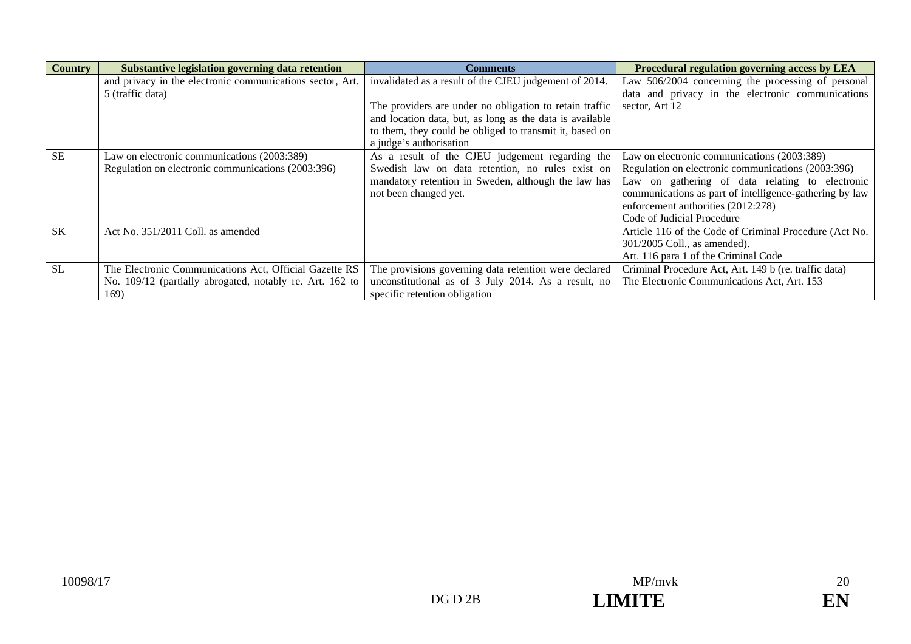| <b>Country</b> | Substantive legislation governing data retention          | <b>Comments</b>                                          | Procedural regulation governing access by LEA           |
|----------------|-----------------------------------------------------------|----------------------------------------------------------|---------------------------------------------------------|
|                | and privacy in the electronic communications sector, Art. | invalidated as a result of the CJEU judgement of 2014.   | Law 506/2004 concerning the processing of personal      |
|                | 5 (traffic data)                                          |                                                          | data and privacy in the electronic communications       |
|                |                                                           | The providers are under no obligation to retain traffic  | sector, Art 12                                          |
|                |                                                           | and location data, but, as long as the data is available |                                                         |
|                |                                                           | to them, they could be obliged to transmit it, based on  |                                                         |
|                |                                                           | a judge's authorisation                                  |                                                         |
| <b>SE</b>      | Law on electronic communications (2003:389)               | As a result of the CJEU judgement regarding the          | Law on electronic communications (2003:389)             |
|                | Regulation on electronic communications (2003:396)        | Swedish law on data retention, no rules exist on         | Regulation on electronic communications (2003:396)      |
|                |                                                           | mandatory retention in Sweden, although the law has      | Law on gathering of data relating to electronic         |
|                |                                                           | not been changed yet.                                    | communications as part of intelligence-gathering by law |
|                |                                                           |                                                          | enforcement authorities (2012:278)                      |
|                |                                                           |                                                          | Code of Judicial Procedure                              |
| <b>SK</b>      | Act No. 351/2011 Coll. as amended                         |                                                          | Article 116 of the Code of Criminal Procedure (Act No.  |
|                |                                                           |                                                          | 301/2005 Coll., as amended).                            |
|                |                                                           |                                                          | Art. 116 para 1 of the Criminal Code                    |
| <b>SL</b>      | The Electronic Communications Act, Official Gazette RS    | The provisions governing data retention were declared    | Criminal Procedure Act, Art. 149 b (re. traffic data)   |
|                | No. 109/12 (partially abrogated, notably re. Art. 162 to  | unconstitutional as of 3 July 2014. As a result, no      | The Electronic Communications Act, Art. 153             |
|                | 169)                                                      | specific retention obligation                            |                                                         |

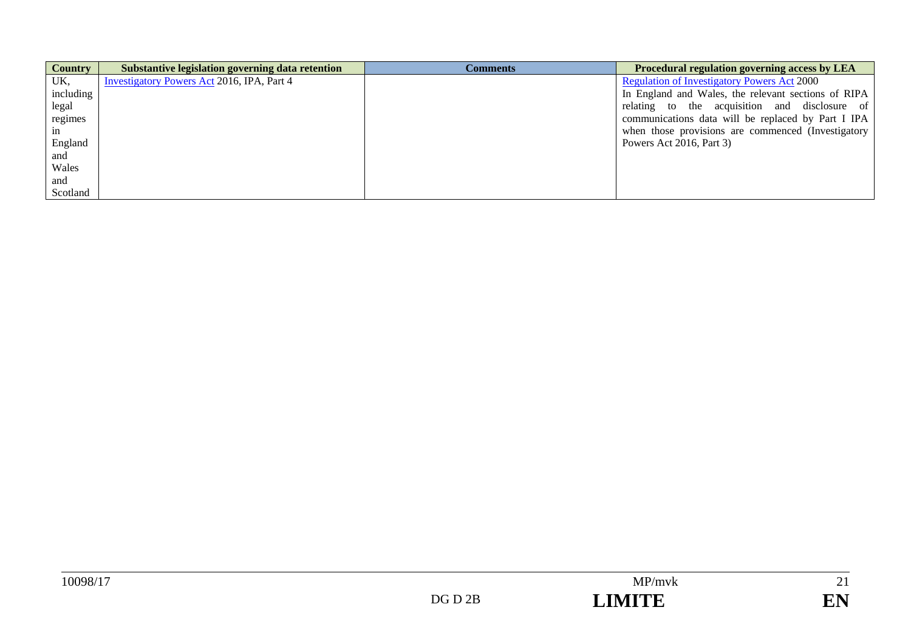| <b>Country</b> | Substantive legislation governing data retention | <b>Comments</b> | Procedural regulation governing access by LEA       |
|----------------|--------------------------------------------------|-----------------|-----------------------------------------------------|
| UK,            | Investigatory Powers Act 2016, IPA, Part 4       |                 | <b>Regulation of Investigatory Powers Act 2000</b>  |
| including      |                                                  |                 | In England and Wales, the relevant sections of RIPA |
| legal          |                                                  |                 | relating to the acquisition and disclosure of       |
| regimes        |                                                  |                 | communications data will be replaced by Part I IPA  |
| 1n             |                                                  |                 | when those provisions are commenced (Investigatory  |
| England        |                                                  |                 | Powers Act 2016, Part 3)                            |
| and            |                                                  |                 |                                                     |
| Wales          |                                                  |                 |                                                     |
| and            |                                                  |                 |                                                     |
| Scotland       |                                                  |                 |                                                     |

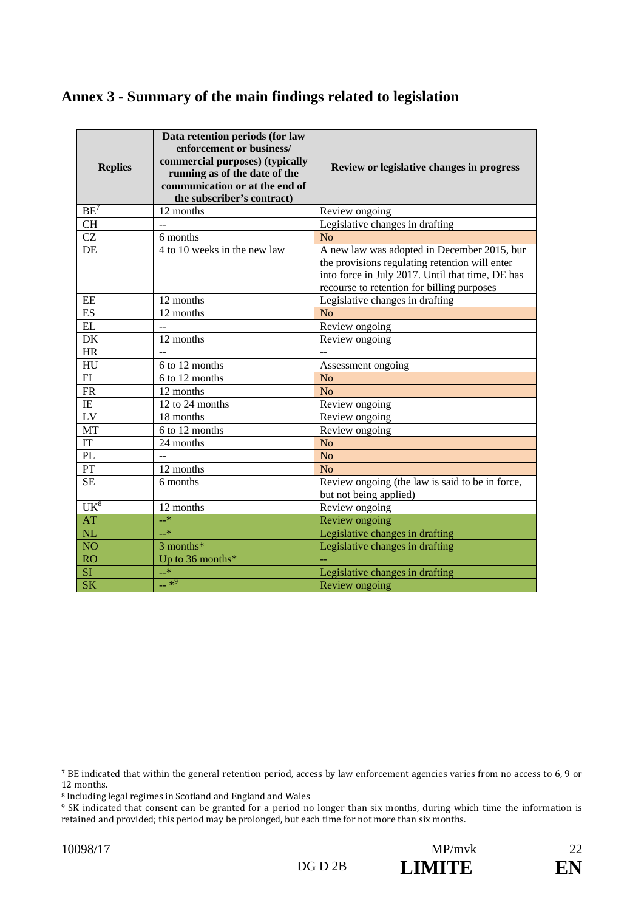# **Annex 3 - Summary of the main findings related to legislation**

| <b>Replies</b>  | Data retention periods (for law<br>enforcement or business/<br>commercial purposes) (typically<br>running as of the date of the<br>communication or at the end of<br>the subscriber's contract) | Review or legislative changes in progress                                                                                                                                                       |
|-----------------|-------------------------------------------------------------------------------------------------------------------------------------------------------------------------------------------------|-------------------------------------------------------------------------------------------------------------------------------------------------------------------------------------------------|
| $BE^7$          | 12 months                                                                                                                                                                                       | Review ongoing                                                                                                                                                                                  |
| <b>CH</b>       |                                                                                                                                                                                                 | Legislative changes in drafting                                                                                                                                                                 |
| <b>CZ</b>       | 6 months                                                                                                                                                                                        | N <sub>o</sub>                                                                                                                                                                                  |
| DE              | 4 to 10 weeks in the new law                                                                                                                                                                    | A new law was adopted in December 2015, bur<br>the provisions regulating retention will enter<br>into force in July 2017. Until that time, DE has<br>recourse to retention for billing purposes |
| EE              | 12 months                                                                                                                                                                                       | Legislative changes in drafting                                                                                                                                                                 |
| ES              | 12 months                                                                                                                                                                                       | No                                                                                                                                                                                              |
| EL              |                                                                                                                                                                                                 | Review ongoing                                                                                                                                                                                  |
| DK              | 12 months                                                                                                                                                                                       | Review ongoing                                                                                                                                                                                  |
| <b>HR</b>       | $\overline{a}$                                                                                                                                                                                  | $\sim$                                                                                                                                                                                          |
| HU              | 6 to 12 months                                                                                                                                                                                  | Assessment ongoing                                                                                                                                                                              |
| FI              | 6 to 12 months                                                                                                                                                                                  | N <sub>o</sub>                                                                                                                                                                                  |
| FR              | 12 months                                                                                                                                                                                       | N <sub>o</sub>                                                                                                                                                                                  |
| IE              | 12 to 24 months                                                                                                                                                                                 | Review ongoing                                                                                                                                                                                  |
| LV              | 18 months                                                                                                                                                                                       | Review ongoing                                                                                                                                                                                  |
| MT              | 6 to 12 months                                                                                                                                                                                  | Review ongoing                                                                                                                                                                                  |
| IT              | 24 months                                                                                                                                                                                       | N <sub>o</sub>                                                                                                                                                                                  |
| PL              |                                                                                                                                                                                                 | N <sub>o</sub>                                                                                                                                                                                  |
| PT              | 12 months                                                                                                                                                                                       | N <sub>o</sub>                                                                                                                                                                                  |
| <b>SE</b>       | 6 months                                                                                                                                                                                        | Review ongoing (the law is said to be in force,<br>but not being applied)                                                                                                                       |
| UK <sup>8</sup> | 12 months                                                                                                                                                                                       | Review ongoing                                                                                                                                                                                  |
| <b>AT</b>       | $-$ *                                                                                                                                                                                           | Review ongoing                                                                                                                                                                                  |
| NL              | $-$ *                                                                                                                                                                                           | Legislative changes in drafting                                                                                                                                                                 |
| <b>NO</b>       | 3 months*                                                                                                                                                                                       | Legislative changes in drafting                                                                                                                                                                 |
| RO              | Up to 36 months*                                                                                                                                                                                |                                                                                                                                                                                                 |
| <b>SI</b>       | $-*$                                                                                                                                                                                            | Legislative changes in drafting                                                                                                                                                                 |
| <b>SK</b>       | $-*^9$                                                                                                                                                                                          | Review ongoing                                                                                                                                                                                  |

<sup>&</sup>lt;sup>7</sup> BE indicated that within the general retention period, access by law enforcement agencies varies from no access to 6, 9 or 12 months.

 $8$  Including legal regimes in Scotland and England and Wales

<sup>&</sup>lt;sup>9</sup> SK indicated that consent can be granted for a period no longer than six months, during which time the information is retained and provided; this period may be prolonged, but each time for not more than six months.